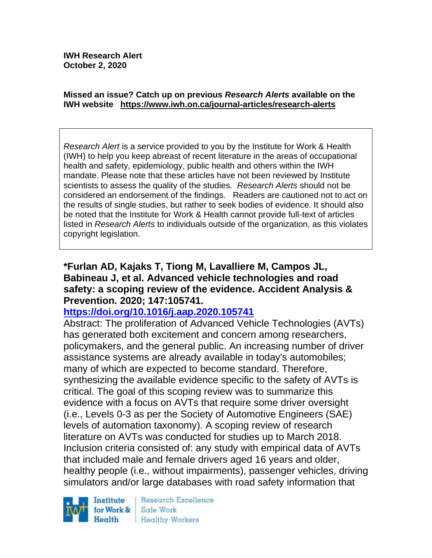#### **Missed an issue? Catch up on previous** *Research Alerts* **available on the [IWH website](http://www.iwh.on.ca/research-alerts) <https://www.iwh.on.ca/journal-articles/research-alerts>**

*Research Alert* is a service provided to you by the Institute for Work & Health (IWH) to help you keep abreast of recent literature in the areas of occupational health and safety, epidemiology, public health and others within the IWH mandate. Please note that these articles have not been reviewed by Institute scientists to assess the quality of the studies. *Research Alerts* should not be considered an endorsement of the findings. Readers are cautioned not to act on the results of single studies, but rather to seek bodies of evidence. It should also be noted that the Institute for Work & Health cannot provide full-text of articles listed in *Research Alerts* to individuals outside of the organization, as this violates copyright legislation.

### **\*Furlan AD, Kajaks T, Tiong M, Lavalliere M, Campos JL, Babineau J, et al. Advanced vehicle technologies and road safety: a scoping review of the evidence. Accident Analysis & Prevention. 2020; 147:105741.**

### **<https://doi.org/10.1016/j.aap.2020.105741>**

Abstract: The proliferation of Advanced Vehicle Technologies (AVTs) has generated both excitement and concern among researchers, policymakers, and the general public. An increasing number of driver assistance systems are already available in today's automobiles; many of which are expected to become standard. Therefore, synthesizing the available evidence specific to the safety of AVTs is critical. The goal of this scoping review was to summarize this evidence with a focus on AVTs that require some driver oversight (i.e., Levels 0-3 as per the Society of Automotive Engineers (SAE) levels of automation taxonomy). A scoping review of research literature on AVTs was conducted for studies up to March 2018. Inclusion criteria consisted of: any study with empirical data of AVTs that included male and female drivers aged 16 years and older, healthy people (i.e., without impairments), passenger vehicles, driving simulators and/or large databases with road safety information that



Research Excellence Safe Work Healthy Workers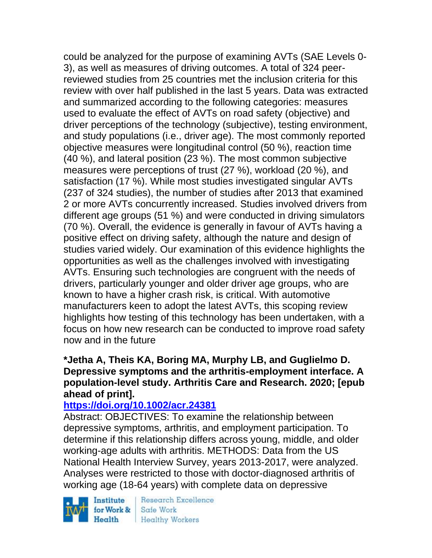could be analyzed for the purpose of examining AVTs (SAE Levels 0- 3), as well as measures of driving outcomes. A total of 324 peerreviewed studies from 25 countries met the inclusion criteria for this review with over half published in the last 5 years. Data was extracted and summarized according to the following categories: measures used to evaluate the effect of AVTs on road safety (objective) and driver perceptions of the technology (subjective), testing environment, and study populations (i.e., driver age). The most commonly reported objective measures were longitudinal control (50 %), reaction time (40 %), and lateral position (23 %). The most common subjective measures were perceptions of trust (27 %), workload (20 %), and satisfaction (17 %). While most studies investigated singular AVTs (237 of 324 studies), the number of studies after 2013 that examined 2 or more AVTs concurrently increased. Studies involved drivers from different age groups (51 %) and were conducted in driving simulators (70 %). Overall, the evidence is generally in favour of AVTs having a positive effect on driving safety, although the nature and design of studies varied widely. Our examination of this evidence highlights the opportunities as well as the challenges involved with investigating AVTs. Ensuring such technologies are congruent with the needs of drivers, particularly younger and older driver age groups, who are known to have a higher crash risk, is critical. With automotive manufacturers keen to adopt the latest AVTs, this scoping review highlights how testing of this technology has been undertaken, with a focus on how new research can be conducted to improve road safety now and in the future

### **\*Jetha A, Theis KA, Boring MA, Murphy LB, and Guglielmo D. Depressive symptoms and the arthritis-employment interface. A population-level study. Arthritis Care and Research. 2020; [epub ahead of print].**

### **<https://doi.org/10.1002/acr.24381>**

Abstract: OBJECTIVES: To examine the relationship between depressive symptoms, arthritis, and employment participation. To determine if this relationship differs across young, middle, and older working-age adults with arthritis. METHODS: Data from the US National Health Interview Survey, years 2013-2017, were analyzed. Analyses were restricted to those with doctor-diagnosed arthritis of working age (18-64 years) with complete data on depressive

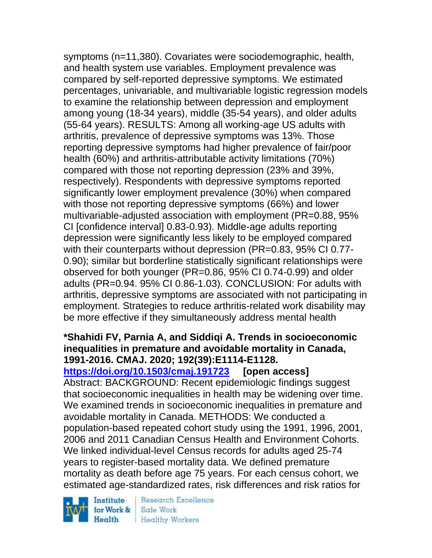symptoms (n=11,380). Covariates were sociodemographic, health, and health system use variables. Employment prevalence was compared by self-reported depressive symptoms. We estimated percentages, univariable, and multivariable logistic regression models to examine the relationship between depression and employment among young (18-34 years), middle (35-54 years), and older adults (55-64 years). RESULTS: Among all working-age US adults with arthritis, prevalence of depressive symptoms was 13%. Those reporting depressive symptoms had higher prevalence of fair/poor health (60%) and arthritis-attributable activity limitations (70%) compared with those not reporting depression (23% and 39%, respectively). Respondents with depressive symptoms reported significantly lower employment prevalence (30%) when compared with those not reporting depressive symptoms (66%) and lower multivariable-adjusted association with employment (PR=0.88, 95% CI [confidence interval] 0.83-0.93). Middle-age adults reporting depression were significantly less likely to be employed compared with their counterparts without depression (PR=0.83, 95% CI 0.77- 0.90); similar but borderline statistically significant relationships were observed for both younger (PR=0.86, 95% CI 0.74-0.99) and older adults (PR=0.94. 95% CI 0.86-1.03). CONCLUSION: For adults with arthritis, depressive symptoms are associated with not participating in employment. Strategies to reduce arthritis-related work disability may be more effective if they simultaneously address mental health

#### **\*Shahidi FV, Parnia A, and Siddiqi A. Trends in socioeconomic inequalities in premature and avoidable mortality in Canada, 1991-2016. CMAJ. 2020; 192(39):E1114-E1128.**

**<https://doi.org/10.1503/cmaj.191723> [open access]** Abstract: BACKGROUND: Recent epidemiologic findings suggest that socioeconomic inequalities in health may be widening over time. We examined trends in socioeconomic inequalities in premature and avoidable mortality in Canada. METHODS: We conducted a population-based repeated cohort study using the 1991, 1996, 2001, 2006 and 2011 Canadian Census Health and Environment Cohorts. We linked individual-level Census records for adults aged 25-74 years to register-based mortality data. We defined premature mortality as death before age 75 years. For each census cohort, we estimated age-standardized rates, risk differences and risk ratios for

Institute for Work &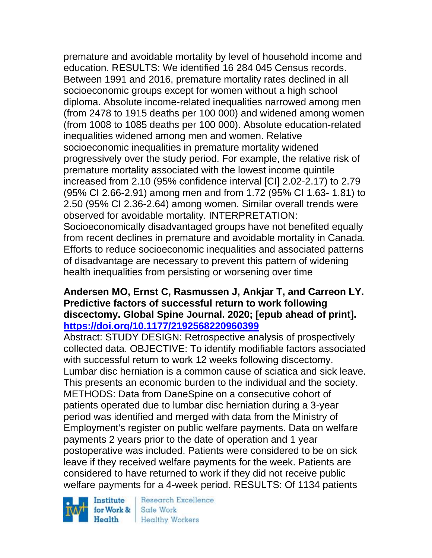premature and avoidable mortality by level of household income and education. RESULTS: We identified 16 284 045 Census records. Between 1991 and 2016, premature mortality rates declined in all socioeconomic groups except for women without a high school diploma. Absolute income-related inequalities narrowed among men (from 2478 to 1915 deaths per 100 000) and widened among women (from 1008 to 1085 deaths per 100 000). Absolute education-related inequalities widened among men and women. Relative socioeconomic inequalities in premature mortality widened progressively over the study period. For example, the relative risk of premature mortality associated with the lowest income quintile increased from 2.10 (95% confidence interval [CI] 2.02-2.17) to 2.79 (95% CI 2.66-2.91) among men and from 1.72 (95% CI 1.63- 1.81) to 2.50 (95% CI 2.36-2.64) among women. Similar overall trends were observed for avoidable mortality. INTERPRETATION: Socioeconomically disadvantaged groups have not benefited equally from recent declines in premature and avoidable mortality in Canada. Efforts to reduce socioeconomic inequalities and associated patterns of disadvantage are necessary to prevent this pattern of widening health inequalities from persisting or worsening over time

# **Andersen MO, Ernst C, Rasmussen J, Ankjar T, and Carreon LY. Predictive factors of successful return to work following discectomy. Global Spine Journal. 2020; [epub ahead of print]. <https://doi.org/10.1177/2192568220960399>**

Abstract: STUDY DESIGN: Retrospective analysis of prospectively collected data. OBJECTIVE: To identify modifiable factors associated with successful return to work 12 weeks following discectomy. Lumbar disc herniation is a common cause of sciatica and sick leave. This presents an economic burden to the individual and the society. METHODS: Data from DaneSpine on a consecutive cohort of patients operated due to lumbar disc herniation during a 3-year period was identified and merged with data from the Ministry of Employment's register on public welfare payments. Data on welfare payments 2 years prior to the date of operation and 1 year postoperative was included. Patients were considered to be on sick leave if they received welfare payments for the week. Patients are considered to have returned to work if they did not receive public welfare payments for a 4-week period. RESULTS: Of 1134 patients

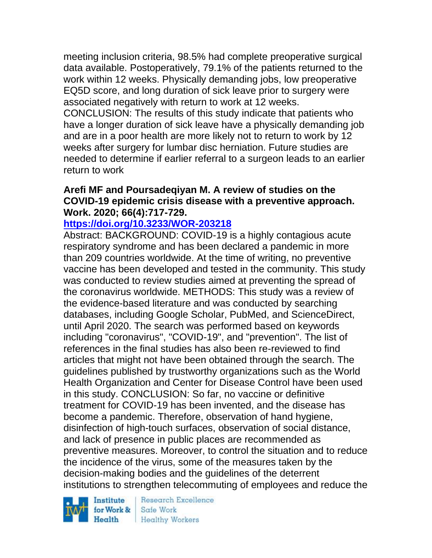meeting inclusion criteria, 98.5% had complete preoperative surgical data available. Postoperatively, 79.1% of the patients returned to the work within 12 weeks. Physically demanding jobs, low preoperative EQ5D score, and long duration of sick leave prior to surgery were associated negatively with return to work at 12 weeks. CONCLUSION: The results of this study indicate that patients who have a longer duration of sick leave have a physically demanding job and are in a poor health are more likely not to return to work by 12 weeks after surgery for lumbar disc herniation. Future studies are needed to determine if earlier referral to a surgeon leads to an earlier return to work

#### **Arefi MF and Poursadeqiyan M. A review of studies on the COVID-19 epidemic crisis disease with a preventive approach. Work. 2020; 66(4):717-729.**

#### **<https://doi.org/10.3233/WOR-203218>**

Abstract: BACKGROUND: COVID-19 is a highly contagious acute respiratory syndrome and has been declared a pandemic in more than 209 countries worldwide. At the time of writing, no preventive vaccine has been developed and tested in the community. This study was conducted to review studies aimed at preventing the spread of the coronavirus worldwide. METHODS: This study was a review of the evidence-based literature and was conducted by searching databases, including Google Scholar, PubMed, and ScienceDirect, until April 2020. The search was performed based on keywords including "coronavirus", "COVID-19", and "prevention". The list of references in the final studies has also been re-reviewed to find articles that might not have been obtained through the search. The guidelines published by trustworthy organizations such as the World Health Organization and Center for Disease Control have been used in this study. CONCLUSION: So far, no vaccine or definitive treatment for COVID-19 has been invented, and the disease has become a pandemic. Therefore, observation of hand hygiene, disinfection of high-touch surfaces, observation of social distance, and lack of presence in public places are recommended as preventive measures. Moreover, to control the situation and to reduce the incidence of the virus, some of the measures taken by the decision-making bodies and the guidelines of the deterrent institutions to strengthen telecommuting of employees and reduce the

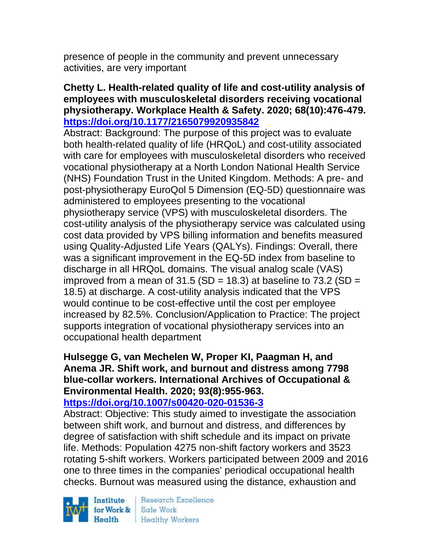presence of people in the community and prevent unnecessary activities, are very important

#### **Chetty L. Health-related quality of life and cost-utility analysis of employees with musculoskeletal disorders receiving vocational physiotherapy. Workplace Health & Safety. 2020; 68(10):476-479. <https://doi.org/10.1177/2165079920935842>**

Abstract: Background: The purpose of this project was to evaluate both health-related quality of life (HRQoL) and cost-utility associated with care for employees with musculoskeletal disorders who received vocational physiotherapy at a North London National Health Service (NHS) Foundation Trust in the United Kingdom. Methods: A pre- and post-physiotherapy EuroQol 5 Dimension (EQ-5D) questionnaire was administered to employees presenting to the vocational physiotherapy service (VPS) with musculoskeletal disorders. The cost-utility analysis of the physiotherapy service was calculated using cost data provided by VPS billing information and benefits measured using Quality-Adjusted Life Years (QALYs). Findings: Overall, there was a significant improvement in the EQ-5D index from baseline to discharge in all HRQoL domains. The visual analog scale (VAS) improved from a mean of  $31.5$  (SD = 18.3) at baseline to  $73.2$  (SD = 18.5) at discharge. A cost-utility analysis indicated that the VPS would continue to be cost-effective until the cost per employee increased by 82.5%. Conclusion/Application to Practice: The project supports integration of vocational physiotherapy services into an occupational health department

# **Hulsegge G, van Mechelen W, Proper KI, Paagman H, and Anema JR. Shift work, and burnout and distress among 7798 blue-collar workers. International Archives of Occupational & Environmental Health. 2020; 93(8):955-963.**

### **<https://doi.org/10.1007/s00420-020-01536-3>**

Abstract: Objective: This study aimed to investigate the association between shift work, and burnout and distress, and differences by degree of satisfaction with shift schedule and its impact on private life. Methods: Population 4275 non-shift factory workers and 3523 rotating 5-shift workers. Workers participated between 2009 and 2016 one to three times in the companies' periodical occupational health checks. Burnout was measured using the distance, exhaustion and

Institute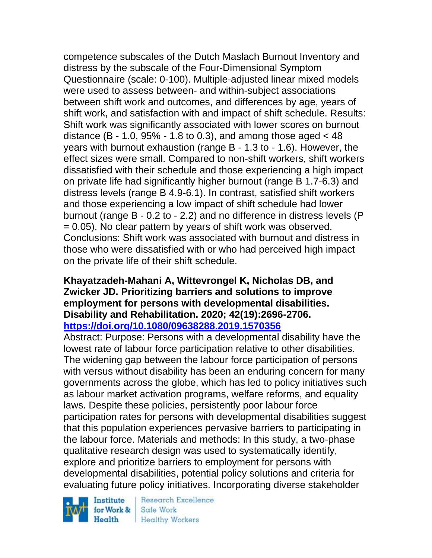competence subscales of the Dutch Maslach Burnout Inventory and distress by the subscale of the Four-Dimensional Symptom Questionnaire (scale: 0-100). Multiple-adjusted linear mixed models were used to assess between- and within-subject associations between shift work and outcomes, and differences by age, years of shift work, and satisfaction with and impact of shift schedule. Results: Shift work was significantly associated with lower scores on burnout distance  $(B - 1.0, 95\% - 1.8$  to 0.3), and among those aged  $< 48$ years with burnout exhaustion (range B - 1.3 to - 1.6). However, the effect sizes were small. Compared to non-shift workers, shift workers dissatisfied with their schedule and those experiencing a high impact on private life had significantly higher burnout (range B 1.7-6.3) and distress levels (range B 4.9-6.1). In contrast, satisfied shift workers and those experiencing a low impact of shift schedule had lower burnout (range B - 0.2 to - 2.2) and no difference in distress levels (P = 0.05). No clear pattern by years of shift work was observed. Conclusions: Shift work was associated with burnout and distress in those who were dissatisfied with or who had perceived high impact on the private life of their shift schedule.

### **Khayatzadeh-Mahani A, Wittevrongel K, Nicholas DB, and Zwicker JD. Prioritizing barriers and solutions to improve employment for persons with developmental disabilities. Disability and Rehabilitation. 2020; 42(19):2696-2706. <https://doi.org/10.1080/09638288.2019.1570356>**

Abstract: Purpose: Persons with a developmental disability have the lowest rate of labour force participation relative to other disabilities. The widening gap between the labour force participation of persons with versus without disability has been an enduring concern for many governments across the globe, which has led to policy initiatives such as labour market activation programs, welfare reforms, and equality laws. Despite these policies, persistently poor labour force participation rates for persons with developmental disabilities suggest that this population experiences pervasive barriers to participating in the labour force. Materials and methods: In this study, a two-phase qualitative research design was used to systematically identify, explore and prioritize barriers to employment for persons with developmental disabilities, potential policy solutions and criteria for evaluating future policy initiatives. Incorporating diverse stakeholder

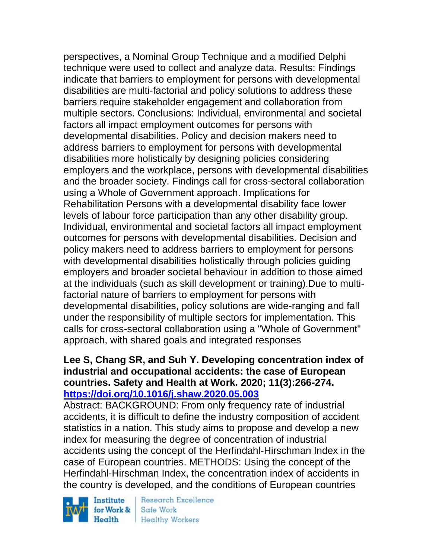perspectives, a Nominal Group Technique and a modified Delphi technique were used to collect and analyze data. Results: Findings indicate that barriers to employment for persons with developmental disabilities are multi-factorial and policy solutions to address these barriers require stakeholder engagement and collaboration from multiple sectors. Conclusions: Individual, environmental and societal factors all impact employment outcomes for persons with developmental disabilities. Policy and decision makers need to address barriers to employment for persons with developmental disabilities more holistically by designing policies considering employers and the workplace, persons with developmental disabilities and the broader society. Findings call for cross-sectoral collaboration using a Whole of Government approach. Implications for Rehabilitation Persons with a developmental disability face lower levels of labour force participation than any other disability group. Individual, environmental and societal factors all impact employment outcomes for persons with developmental disabilities. Decision and policy makers need to address barriers to employment for persons with developmental disabilities holistically through policies guiding employers and broader societal behaviour in addition to those aimed at the individuals (such as skill development or training).Due to multifactorial nature of barriers to employment for persons with developmental disabilities, policy solutions are wide-ranging and fall under the responsibility of multiple sectors for implementation. This calls for cross-sectoral collaboration using a "Whole of Government" approach, with shared goals and integrated responses

#### **Lee S, Chang SR, and Suh Y. Developing concentration index of industrial and occupational accidents: the case of European countries. Safety and Health at Work. 2020; 11(3):266-274. <https://doi.org/10.1016/j.shaw.2020.05.003>**

Abstract: BACKGROUND: From only frequency rate of industrial accidents, it is difficult to define the industry composition of accident statistics in a nation. This study aims to propose and develop a new index for measuring the degree of concentration of industrial accidents using the concept of the Herfindahl-Hirschman Index in the case of European countries. METHODS: Using the concept of the Herfindahl-Hirschman Index, the concentration index of accidents in the country is developed, and the conditions of European countries

Institute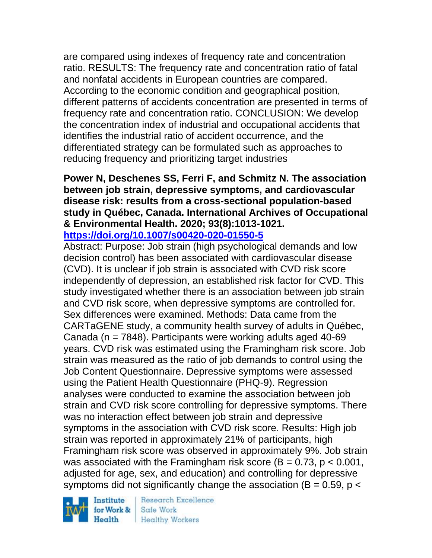are compared using indexes of frequency rate and concentration ratio. RESULTS: The frequency rate and concentration ratio of fatal and nonfatal accidents in European countries are compared. According to the economic condition and geographical position, different patterns of accidents concentration are presented in terms of frequency rate and concentration ratio. CONCLUSION: We develop the concentration index of industrial and occupational accidents that identifies the industrial ratio of accident occurrence, and the differentiated strategy can be formulated such as approaches to reducing frequency and prioritizing target industries

#### **Power N, Deschenes SS, Ferri F, and Schmitz N. The association between job strain, depressive symptoms, and cardiovascular disease risk: results from a cross-sectional population-based study in Québec, Canada. International Archives of Occupational & Environmental Health. 2020; 93(8):1013-1021. <https://doi.org/10.1007/s00420-020-01550-5>**

Abstract: Purpose: Job strain (high psychological demands and low decision control) has been associated with cardiovascular disease (CVD). It is unclear if job strain is associated with CVD risk score independently of depression, an established risk factor for CVD. This study investigated whether there is an association between job strain and CVD risk score, when depressive symptoms are controlled for. Sex differences were examined. Methods: Data came from the CARTaGENE study, a community health survey of adults in Québec, Canada ( $n = 7848$ ). Participants were working adults aged 40-69 years. CVD risk was estimated using the Framingham risk score. Job strain was measured as the ratio of job demands to control using the Job Content Questionnaire. Depressive symptoms were assessed using the Patient Health Questionnaire (PHQ-9). Regression analyses were conducted to examine the association between job strain and CVD risk score controlling for depressive symptoms. There was no interaction effect between job strain and depressive symptoms in the association with CVD risk score. Results: High job strain was reported in approximately 21% of participants, high Framingham risk score was observed in approximately 9%. Job strain was associated with the Framingham risk score  $(B = 0.73, p < 0.001,$ adjusted for age, sex, and education) and controlling for depressive symptoms did not significantly change the association ( $B = 0.59$ ,  $p <$ 

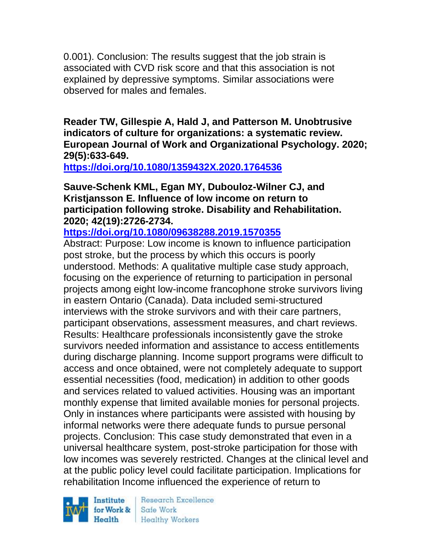0.001). Conclusion: The results suggest that the job strain is associated with CVD risk score and that this association is not explained by depressive symptoms. Similar associations were observed for males and females.

**Reader TW, Gillespie A, Hald J, and Patterson M. Unobtrusive indicators of culture for organizations: a systematic review. European Journal of Work and Organizational Psychology. 2020; 29(5):633-649.** 

**<https://doi.org/10.1080/1359432X.2020.1764536>** 

#### **Sauve-Schenk KML, Egan MY, Dubouloz-Wilner CJ, and Kristjansson E. Influence of low income on return to participation following stroke. Disability and Rehabilitation. 2020; 42(19):2726-2734.**

**<https://doi.org/10.1080/09638288.2019.1570355>** 

Abstract: Purpose: Low income is known to influence participation post stroke, but the process by which this occurs is poorly understood. Methods: A qualitative multiple case study approach, focusing on the experience of returning to participation in personal projects among eight low-income francophone stroke survivors living in eastern Ontario (Canada). Data included semi-structured interviews with the stroke survivors and with their care partners, participant observations, assessment measures, and chart reviews. Results: Healthcare professionals inconsistently gave the stroke survivors needed information and assistance to access entitlements during discharge planning. Income support programs were difficult to access and once obtained, were not completely adequate to support essential necessities (food, medication) in addition to other goods and services related to valued activities. Housing was an important monthly expense that limited available monies for personal projects. Only in instances where participants were assisted with housing by informal networks were there adequate funds to pursue personal projects. Conclusion: This case study demonstrated that even in a universal healthcare system, post-stroke participation for those with low incomes was severely restricted. Changes at the clinical level and at the public policy level could facilitate participation. Implications for rehabilitation Income influenced the experience of return to

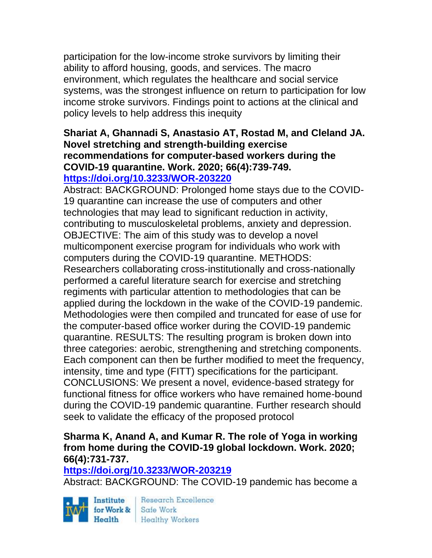participation for the low-income stroke survivors by limiting their ability to afford housing, goods, and services. The macro environment, which regulates the healthcare and social service systems, was the strongest influence on return to participation for low income stroke survivors. Findings point to actions at the clinical and policy levels to help address this inequity

### **Shariat A, Ghannadi S, Anastasio AT, Rostad M, and Cleland JA. Novel stretching and strength-building exercise recommendations for computer-based workers during the COVID-19 quarantine. Work. 2020; 66(4):739-749. <https://doi.org/10.3233/WOR-203220>**

Abstract: BACKGROUND: Prolonged home stays due to the COVID-19 quarantine can increase the use of computers and other technologies that may lead to significant reduction in activity, contributing to musculoskeletal problems, anxiety and depression. OBJECTIVE: The aim of this study was to develop a novel multicomponent exercise program for individuals who work with computers during the COVID-19 quarantine. METHODS: Researchers collaborating cross-institutionally and cross-nationally performed a careful literature search for exercise and stretching regiments with particular attention to methodologies that can be applied during the lockdown in the wake of the COVID-19 pandemic. Methodologies were then compiled and truncated for ease of use for the computer-based office worker during the COVID-19 pandemic quarantine. RESULTS: The resulting program is broken down into three categories: aerobic, strengthening and stretching components. Each component can then be further modified to meet the frequency, intensity, time and type (FITT) specifications for the participant. CONCLUSIONS: We present a novel, evidence-based strategy for functional fitness for office workers who have remained home-bound during the COVID-19 pandemic quarantine. Further research should seek to validate the efficacy of the proposed protocol

# **Sharma K, Anand A, and Kumar R. The role of Yoga in working from home during the COVID-19 global lockdown. Work. 2020; 66(4):731-737.**

#### **<https://doi.org/10.3233/WOR-203219>**

Abstract: BACKGROUND: The COVID-19 pandemic has become a

Institute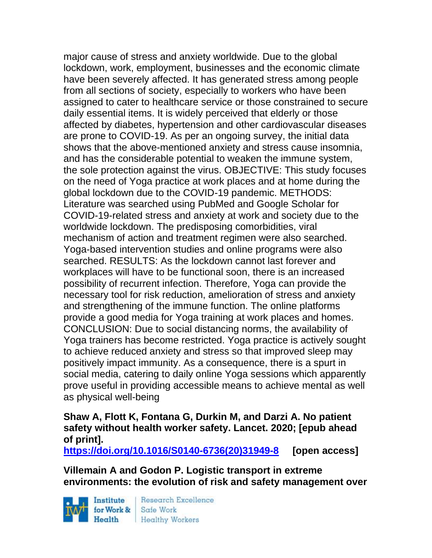major cause of stress and anxiety worldwide. Due to the global lockdown, work, employment, businesses and the economic climate have been severely affected. It has generated stress among people from all sections of society, especially to workers who have been assigned to cater to healthcare service or those constrained to secure daily essential items. It is widely perceived that elderly or those affected by diabetes, hypertension and other cardiovascular diseases are prone to COVID-19. As per an ongoing survey, the initial data shows that the above-mentioned anxiety and stress cause insomnia, and has the considerable potential to weaken the immune system, the sole protection against the virus. OBJECTIVE: This study focuses on the need of Yoga practice at work places and at home during the global lockdown due to the COVID-19 pandemic. METHODS: Literature was searched using PubMed and Google Scholar for COVID-19-related stress and anxiety at work and society due to the worldwide lockdown. The predisposing comorbidities, viral mechanism of action and treatment regimen were also searched. Yoga-based intervention studies and online programs were also searched. RESULTS: As the lockdown cannot last forever and workplaces will have to be functional soon, there is an increased possibility of recurrent infection. Therefore, Yoga can provide the necessary tool for risk reduction, amelioration of stress and anxiety and strengthening of the immune function. The online platforms provide a good media for Yoga training at work places and homes. CONCLUSION: Due to social distancing norms, the availability of Yoga trainers has become restricted. Yoga practice is actively sought to achieve reduced anxiety and stress so that improved sleep may positively impact immunity. As a consequence, there is a spurt in social media, catering to daily online Yoga sessions which apparently prove useful in providing accessible means to achieve mental as well as physical well-being

**Shaw A, Flott K, Fontana G, Durkin M, and Darzi A. No patient safety without health worker safety. Lancet. 2020; [epub ahead of print].**

**[https://doi.org/10.1016/S0140-6736\(20\)31949-8](https://doi.org/10.1016/S0140-6736(20)31949-8) [open access]**

**Villemain A and Godon P. Logistic transport in extreme environments: the evolution of risk and safety management over** 

Institute Health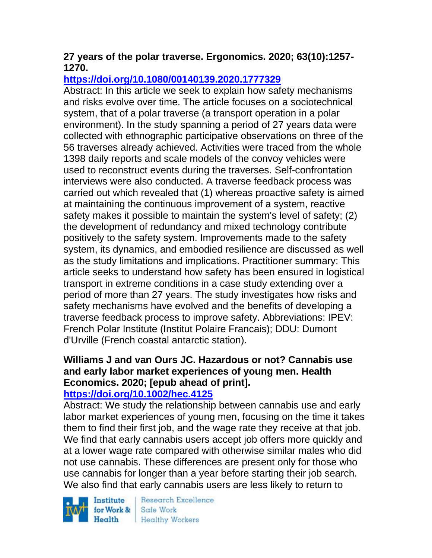# **27 years of the polar traverse. Ergonomics. 2020; 63(10):1257- 1270.**

# **<https://doi.org/10.1080/00140139.2020.1777329>**

Abstract: In this article we seek to explain how safety mechanisms and risks evolve over time. The article focuses on a sociotechnical system, that of a polar traverse (a transport operation in a polar environment). In the study spanning a period of 27 years data were collected with ethnographic participative observations on three of the 56 traverses already achieved. Activities were traced from the whole 1398 daily reports and scale models of the convoy vehicles were used to reconstruct events during the traverses. Self-confrontation interviews were also conducted. A traverse feedback process was carried out which revealed that (1) whereas proactive safety is aimed at maintaining the continuous improvement of a system, reactive safety makes it possible to maintain the system's level of safety; (2) the development of redundancy and mixed technology contribute positively to the safety system. Improvements made to the safety system, its dynamics, and embodied resilience are discussed as well as the study limitations and implications. Practitioner summary: This article seeks to understand how safety has been ensured in logistical transport in extreme conditions in a case study extending over a period of more than 27 years. The study investigates how risks and safety mechanisms have evolved and the benefits of developing a traverse feedback process to improve safety. Abbreviations: IPEV: French Polar Institute (Institut Polaire Francais); DDU: Dumont d'Urville (French coastal antarctic station).

# **Williams J and van Ours JC. Hazardous or not? Cannabis use and early labor market experiences of young men. Health Economics. 2020; [epub ahead of print].**

### **<https://doi.org/10.1002/hec.4125>**

Abstract: We study the relationship between cannabis use and early labor market experiences of young men, focusing on the time it takes them to find their first job, and the wage rate they receive at that job. We find that early cannabis users accept job offers more quickly and at a lower wage rate compared with otherwise similar males who did not use cannabis. These differences are present only for those who use cannabis for longer than a year before starting their job search. We also find that early cannabis users are less likely to return to

Institute